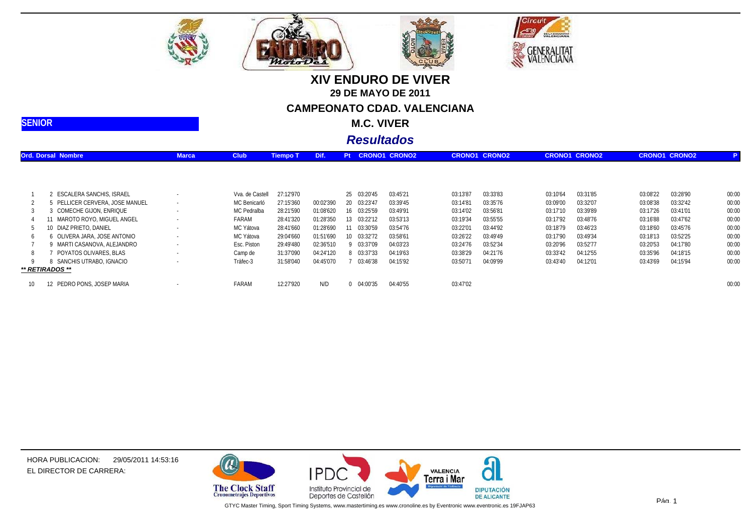







**M.C. VIVER**

### *Resultados*

|    | <b>Ord. Dorsal Nombre</b>     | <b>Marca</b> | <b>Club</b>     | <b>Tiempo T</b> | Dif.      | Pt |             | <b>CRONO1 CRONO2</b> |          | <b>CRONO1 CRONO2</b> |          | <b>CRONO1 CRONO2</b> |          | <b>CRONO1 CRONO2</b> |       |
|----|-------------------------------|--------------|-----------------|-----------------|-----------|----|-------------|----------------------|----------|----------------------|----------|----------------------|----------|----------------------|-------|
|    |                               |              |                 |                 |           |    |             |                      |          |                      |          |                      |          |                      |       |
|    | ESCALERA SANCHIS, ISRAEL      |              | Vva. de Castell | 27:12'970       |           |    | 25 03:20'45 | 03:45'21             | 03:13'87 | 03:33'83             | 03:10'64 | 03:31'85             | 03:08'22 | 03:28'90             | 00:00 |
|    | PELLICER CERVERA. JOSE MANUEL | $\sim$       | MC Benicarló    | 27:15'360       | 00:02'390 |    | 20 03:23'4  | 03:39'45             | 03:14'81 | 03:35'76             | 03:09'00 | 03:32'07             | 03:08'38 | 03:32'42             | 00:00 |
|    | COMECHE GIJON, ENRIQUE        |              | MC Pedralba     | 28:21'590       | 01:08'620 |    | 16 03:25'59 | 03:49'91             | 03:14'02 | 03:56'81             | 03:17'10 | 03:39'89             | 03:17'26 | 03:41'01             | 00:00 |
|    | 11 MAROTO ROYO, MIGUEL ANGEL  |              | FARAM           | 28:41'320       | 01:28'350 |    | 13 03:22'12 | 03:53'13             | 03:19'34 | 03:55'55             | 03:17'92 | 03:48'76             | 03:16'88 | 03:47'62             | 00:00 |
|    | 10 DIAZ PRIETO, DANIEL        |              | MC Yátova       | 28:41'660       | 01:28'690 |    | 11 03:30'59 | 03:54'76             | 03:22'01 | 03:44'92             | 03:18'79 | 03:46'23             | 03:18'60 | 03:45'76             | 00:00 |
|    | 6 OLIVERA JARA, JOSE ANTONIO  |              | MC Yátova       | 29:04'660       | 01:51'690 | 10 | 03:32'72    | 03:58'61             | 03:26'22 | 03:49'49             | 03:17'90 | 03:49'34             | 03:18'13 | 03:52'25             | 00:00 |
|    | MARTI CASANOVA. ALEJANDRO     | $\sim$       | Esc. Piston     | 29:49'480       | 02:36'510 |    | 9 03:37'09  | 04:03'23             | 03:24'76 | 03:52'34             | 03:20'96 | 03:52'77             | 03:20'53 | 04:17'80             | 00:00 |
|    | POYATOS OLIVARES. BLAS        |              | Camp de         | 31:37'090       | 04:24'120 |    | 8 03:37'33  | 04:19'63             | 03:38'29 | 04:21'76             | 03:33'42 | 04:12'55             | 03:35'96 | 04:18'15             | 00:00 |
|    | SANCHIS UTRABO. IGNACIO       |              | Tràfec-3        | 31:58'040       | 04:45'070 |    | 03:46'38    | 04:15'92             | 03:50'71 | 04:09'99             | 03:43'40 | 04:12'01             | 03:43'69 | 04:15'94             | 00:00 |
|    | ** RETIRADOS **               |              |                 |                 |           |    |             |                      |          |                      |          |                      |          |                      |       |
| 10 | 12 PEDRO PONS, JOSEP MARIA    |              | FARAM           | 12:27'920       | N/D       |    | 0 04:00'35  | 04:40'55             | 03:47'02 |                      |          |                      |          |                      | 00:00 |

HORA PUBLICACION: 29/05/2011 14:53:16EL DIRECTOR DE CARRERA:

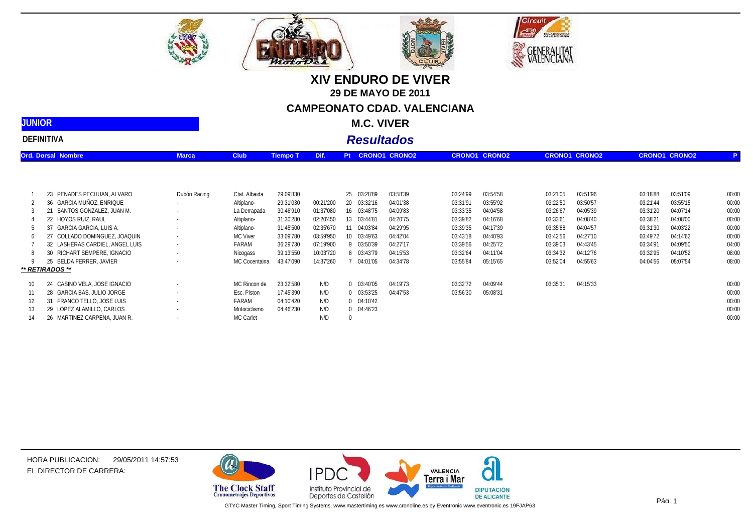





| <b>JUNIOR</b>             |              |             |                 | <b>M.C. VIVER</b>     |                      |                      |                      |
|---------------------------|--------------|-------------|-----------------|-----------------------|----------------------|----------------------|----------------------|
| <b>DEFINITIVA</b>         |              |             |                 | <b>Resultados</b>     |                      |                      |                      |
| <b>Ord. Dorsal Nombre</b> | <b>Marca</b> | <b>Club</b> | <b>Tiempo T</b> | Dif. Pt CRONO1 CRONO2 | <b>CRONO1 CRONO2</b> | <b>CRONO1 CRONO2</b> | <b>CRONO1 CRONO2</b> |
|                           |              |             |                 |                       |                      |                      |                      |

MotoD

|     | 23 PENADES PECHUAN, ALVARO      | Dubón Racing | Ctat. Albaida | 29:09'830 |           | 25 03:28'89    | 03:58'39 | 03:24'99 | 03:54'58 | 03:21'05 | 03:51'96 | 03:18'88 | 03:51'09 | 00:00 |
|-----|---------------------------------|--------------|---------------|-----------|-----------|----------------|----------|----------|----------|----------|----------|----------|----------|-------|
|     | 36 GARCIA MUÑOZ, ENRIQUE        |              | Altiplano-    | 29:31'030 | 00:21'200 | 20 03:32'16    | 04:01'38 | 03:31'91 | 03:55'92 | 03:22'50 | 03:50'57 | 03:21'44 | 03:55'15 | 00:00 |
|     | 21 SANTOS GONZALEZ. JUAN M.     |              | La Derrapada  | 30:46'910 | 01:37'080 | 16 03:48'75    | 04:09'83 | 03:33'35 | 04:04'58 | 03:26'67 | 04:05'39 | 03:31'20 | 04:07'14 | 00:00 |
|     | 22 HOYOS RUIZ, RAUL             |              | Altiplano-    | 31:30'280 | 02:20'450 | 13 03:44'8'    | 04:20'75 | 03:39'82 | 04:16'68 | 03:33'61 | 04:08'40 | 03:38'21 | 04:08'00 | 00:00 |
|     | 37 GARCIA GARCIA, LUIS A.       |              | Altiplano-    | 31:45'500 | 02:35'670 | 11 04:03'84    | 04:29'95 | 03:39'35 | 04:17'39 | 03:35'88 | 04:04'57 | 03:31'30 | 04:03'22 | 00:00 |
| 6.  | 27 COLLADO DOMINGUEZ, JOAQUIN   |              | MC Viver      | 33:09'780 | 03:59'950 | 10 03:49'63    | 04:42'04 | 03:43'18 | 04:40'93 | 03:42'56 | 04:27'10 | 03:49'72 | 04:14'62 | 00:00 |
|     | 32 LASHERAS CARDIEL, ANGEL LUIS |              | FARAM         | 36:29'730 | 07:19'900 | 03:50'39       | 04:27'17 | 03:39'56 | 04:25'72 | 03:39'03 | 04:43'45 | 03:34'91 | 04:09'50 | 04:00 |
|     | 30 RICHART SEMPERE. IGNACIO     |              | Nicogass      | 39:13'550 | 10:03'720 | 03:43'79       | 04:15'53 | 03:32'64 | 04:11'04 | 03:34'32 | 04:12'76 | 03:32'95 | 04:10'52 | 08:00 |
|     | 25 BELDA FERRER, JAVIER         |              | MC Cocentaina | 43:47'090 | 14:37'260 | 04:01'05       | 04:34'78 | 03:55'84 | 05:15'65 | 03:52'04 | 04:55'63 | 04:04'56 | 05:07'54 | 08:00 |
|     | ** RETIRADOS **                 |              |               |           |           |                |          |          |          |          |          |          |          |       |
| 10  | 24 CASINO VELA, JOSE IGNACIO    |              | MC Rincon de  | 23:32'580 | N/D       | 0.03:40'05     | 04:19'73 | 03:32'72 | 04:09'44 | 03:35'31 | 04:15'33 |          |          | 00:00 |
| 11  | 28 GARCIA BAS, JULIO JORGE      |              | Esc. Piston   | 17:45'390 | N/D       | $0$ $03:53'25$ | 04:47'53 | 03:56'30 | 05:08'31 |          |          |          |          | 00:00 |
| 12. | 31 FRANCO TELLO, JOSE LUIS      |              | FARAM         | 04:10'420 | N/D       | $0$ $04:10'42$ |          |          |          |          |          |          |          | 00:00 |
| 13  | 29 LOPEZ ALAMILLO, CARLOS       |              | Motociclismo  | 04:46'230 | N/D       | $0$ $04:46'23$ |          |          |          |          |          |          |          | 00:00 |
| 14  | 26 MARTINEZ CARPENA, JUAN R.    |              | MC Carlet     |           | N/D       |                |          |          |          |          |          |          |          | 00:00 |



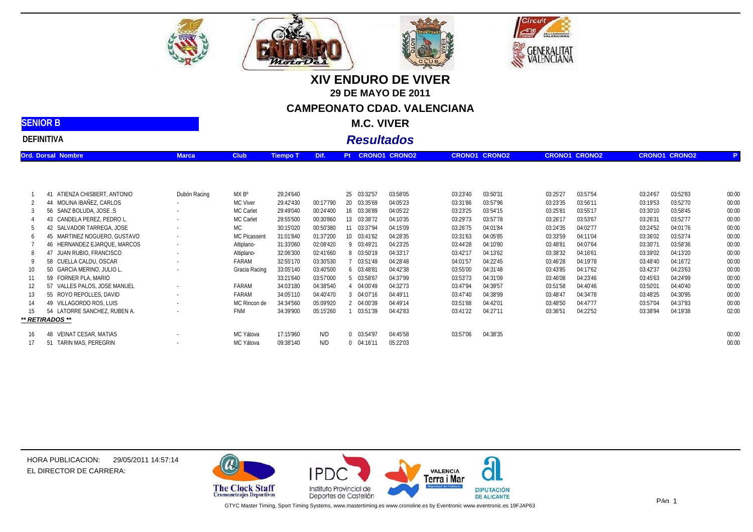







*Resultados*

| <b>DEFINITIVA</b> |  |
|-------------------|--|
| <b>SENIOR B</b>   |  |

|    | <b>Ord. Dorsal Nombre</b>    | <b>Marca</b> | <b>Club</b>         | <b>Tiempo T</b> | Dif.      | Pt |                | <b>CRONO1 CRONO2</b> |          | <b>CRONO1 CRONO2</b> |          | <b>CRONO1 CRONO2</b> |          | <b>CRONO1 CRONO2</b> |       |
|----|------------------------------|--------------|---------------------|-----------------|-----------|----|----------------|----------------------|----------|----------------------|----------|----------------------|----------|----------------------|-------|
|    |                              |              |                     |                 |           |    |                |                      |          |                      |          |                      |          |                      |       |
|    | 41 ATIENZA CHISBERT, ANTONIO | Dubón Racing | MX B°               | 29:24'640       |           |    | 25 03:32'57    | 03:58'05             | 03:23'40 | 03:50'31             | 03:25'27 | 03:57'54             | 03:24'67 | 03:52'83             | 00:00 |
|    | 44 MOLINA IBAÑEZ, CARLOS     |              | MC Viver            | 29:42'430       | 00:17'790 |    | 20 03:35'69    | 04:05'23             | 03:31'86 | 03:57'96             | 03:23'35 | 03:56'11             | 03:19'53 | 03:52'70             | 00:00 |
|    | 56 SANZ BOLUDA, JOSE .S      |              | MC Carlet           | 29:49'040       | 00:24'400 |    | 16 03:36'89    | 04:05'22             | 03:23'25 | 03:54'15             | 03:25'81 | 03:55'17             | 03:30'10 | 03:58'45             | 00:00 |
|    | 43 CANDELA PEREZ. PEDRO L.   | $\sim$       | MC Carlet           | 29:55'500       | 00:30'860 |    | 13 03:38'72    | 04:10'35             | 03:29'73 | 03:57'78             | 03:26'17 | 03:53'67             | 03:26'31 | 03:52'77             | 00:00 |
| b  | 42 SALVADOR TARREGA, JOSE    | $\sim$       | МC                  | 30:15'020       | 00:50'380 |    | 11 03:37'94    | 04:15'09             | 03:26'75 | 04:01'84             | 03:24'35 | 04:02'77             | 03:24'52 | 04:01'76             | 00:00 |
| 6  | 45 MARTINEZ NOGUERO, GUSTAVO | $\sim$       | <b>MC Picassent</b> | 31:01'840       | 01:37'200 |    | 10 03:41'62    | 04:28'35             | 03:31'63 | 04:05'85             | 03:33'59 | 04:11'04             | 03:36'02 | 03:53'74             | 00:00 |
|    | 46 HERNANDEZ EJARQUE, MARCOS | $\sim$       | Altiplano-          | 31:33'060       | 02:08'420 |    | 9 03:49'21     | 04:23'25             | 03:44'28 | 04:10'80             | 03:48'81 | 04:07'64             | 03:30'71 | 03:58'36             | 00:00 |
|    | 47 JUAN RUBIO, FRANCISCO     | $\sim$       | Altiplano-          | 32:06'300       | 02:41'660 |    | 8 03:50'19     | 04:33'17             | 03:42'17 | 04:13'62             | 03:38'32 | 04:16'61             | 03:39'02 | 04:13'20             | 00:00 |
|    | 58 CUELLA CALDU, OSCAR       | $\sim$       | FARAM               | 32:55'170       | 03:30'530 |    | 03:51'49       | 04:28'48             | 04:01'57 | 04:22'45             | 03:46'28 | 04:19'78             | 03:48'40 | 04:16'72             | 00:00 |
| 10 | 50 GARCIA MERINO, JULIO L.   |              | Gracia Racing       | 33:05'140       | 03:40'500 |    | 6 03:48'81     | 04:42'38             | 03:55'00 | 04:31'48             | 03:43'85 | 04:17'62             | 03:42'37 | 04:23'63             | 00:00 |
| 11 | 59 FORNER PLA, MARIO         |              |                     | 33:21'640       | 03:57'000 |    | 5 03:58'67     | 04:37'99             | 03:53'73 | 04:31'09             | 03:46'08 | 04:23'46             | 03:45'63 | 04:24'99             | 00:00 |
|    | 57 VALLES PALOS, JOSE MANUEL | $\sim$       | FARAM               | 34:03'180       | 04:38'540 |    | 04:00'49       | 04:32'73             | 03:47'94 | 04:39'57             | 03:51'58 | 04:40'46             | 03:50'01 | 04:40'40             | 00:00 |
| 13 | 55 ROYO REPOLLES, DAVID      | $\sim$       | FARAM               | 34:05'110       | 04:40'470 |    | 3 04:07'16     | 04:49'11             | 03:47'40 | 04:38'99             | 03:48'47 | 04:34'78             | 03:48'25 | 04:30'95             | 00:00 |
| 14 | 49 VILLAGORDO ROS, LUIS      | $\sim$       | MC Rincon de        | 34:34'560       | 05:09'920 |    | 2 04:00'39     | 04:49'14             | 03:51'88 | 04:42'01             | 03:48'50 | 04:47'77             | 03:57'04 | 04:37'83             | 00:00 |
| 15 | 54 LATORRE SANCHEZ, RUBEN A. |              | FNM                 | 34:39'900       | 05:15'260 |    | 03:51'39       | 04:42'83             | 03:41'22 | 04:27'11             | 03:36'51 | 04:22'52             | 03:38'94 | 04:19'38             | 02:00 |
|    | ** RETIRADOS **              |              |                     |                 |           |    |                |                      |          |                      |          |                      |          |                      |       |
| 16 | 48 VEINAT CESAR, MATIAS      |              | MC Yátova           | 17:15'960       | N/D       |    | $0$ $03:54'97$ | 04:45'58             | 03:57'06 | 04:38'35             |          |                      |          |                      | 00:00 |
| 17 | 51 TARIN MAS, PEREGRIN       |              | MC Yátova           | 09:38'140       | N/D       |    | $0$ $04:16'11$ | 05:22'03             |          |                      |          |                      |          |                      | 00:00 |



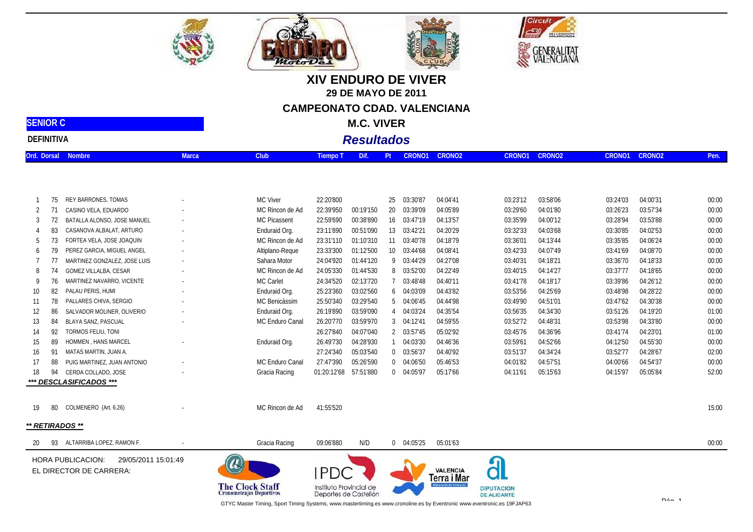



|    |     | REY BARRONES, TOMAS          |                          | MC Viver        | 22:20'800   |           | 25 | 03:30'87       | 04:04'41 | 03:23'12 | 03:58'06 | 03:24'03 | 04:00'31 | 00:00 |
|----|-----|------------------------------|--------------------------|-----------------|-------------|-----------|----|----------------|----------|----------|----------|----------|----------|-------|
|    |     | CASINO VELA, EDUARDO         |                          | MC Rincon de Ad | 22:39'950   | 00:19'150 | 20 | 03:39'09       | 04:05'89 | 03:29'60 | 04:01'80 | 03:26'23 | 03:57'34 | 00:00 |
|    |     | BATALLA ALONSO, JOSE MANUEL  |                          | MC Picassent    | 22:59'690   | 00:38'890 |    | 16 03:47'19    | 04:13'57 | 03:35'99 | 04:00'12 | 03:28'94 | 03:53'88 | 00:00 |
|    |     | CASANOVA ALBALAT, ARTURO     | $\overline{\phantom{a}}$ | Enduraid Org.   | 23:11'890   | 00:51'090 | 13 | 03:42'21       | 04:20'29 | 03:32'33 | 04:03'68 | 03:30'85 | 04:02'53 | 00:00 |
|    | 73. | FORTEA VELA, JOSE JOAQUIN    | $\overline{\phantom{a}}$ | MC Rincon de Ad | 23:31'110   | 01:10'310 | 11 | 03:40'78       | 04:18'79 | 03:36'01 | 04:13'44 | 03:35'85 | 04:06'24 | 00:00 |
|    |     | PEREZ GARCIA, MIGUEL ANGEL   |                          | Altiplano-Reque | 23:33'300   | 01:12'500 |    | 10 03:44'68    | 04:08'41 | 03:42'33 | 04:07'49 | 03:41'69 | 04:08'70 | 00:00 |
|    |     | MARTINEZ GONZALEZ, JOSE LUIS |                          | Sahara Motor    | 24:04'920   | 01:44'120 |    | 9 03:44'29     | 04:27'08 | 03:40'31 | 04:18'21 | 03:36'70 | 04:18'33 | 00:00 |
|    |     | GOMEZ VILLALBA, CESAR        |                          | MC Rincon de Ad | 24:05'330   | 01:44'530 |    | 8 03:52'00     | 04:22'49 | 03:40'15 | 04:14'27 | 03:37'77 | 04:18'65 | 00:00 |
|    | 76  | MARTINEZ NAVARRO, VICENTE    |                          | MC Carlet       | 24:34'520   | 02:13'720 |    | 03:48'48       | 04:40'11 | 03:41'78 | 04:18'17 | 03:39'86 | 04:26'12 | 00:00 |
| 10 | 82  | PALAU PERIS, HUMI            |                          | Enduraid Org.   | 25:23'360   | 03:02'560 |    | 6 04:03'09     | 04:43'82 | 03:53'56 | 04:25'69 | 03:48'98 | 04:28'22 | 00:00 |
|    | 78  | PALLARES CHIVA, SERGIO       |                          | MC Benicàssim   | 25:50'340   | 03:29'540 |    | 5 04:06'45     | 04:44'98 | 03:49'90 | 04:51'01 | 03:47'62 | 04:30'38 | 00:00 |
|    | 86  | SALVADOR MOLINER, OLIVERIO   |                          | Enduraid Org.   | 26:19'890   | 03:59'090 |    | 4 04:03'24     | 04:35'54 | 03:56'35 | 04:34'30 | 03:51'26 | 04:19'20 | 01:00 |
| 13 | 84  | BLAYA SANZ, PASCUAL          |                          | MC Enduro Canal | 26:20'770   | 03:59'970 |    | 304:12'41      | 04:59'55 | 03:52'72 | 04:48'31 | 03:53'98 | 04:33'80 | 00:00 |
| 14 |     | TORMOS FELIU, TONI           |                          |                 | 26:27'840   | 04:07'040 |    | 2 03:57'45     | 05:02'92 | 03:45'76 | 04:36'96 | 03:41'74 | 04:23'01 | 01:00 |
| 15 | 89  | HOMMEN, HANS MARCEL          |                          | Enduraid Org.   | 26:49'730   | 04:28'930 |    | 04:03'30       | 04:46'36 | 03:59'61 | 04:52'66 | 04:12'50 | 04:55'30 | 00:00 |
| 16 | 91  | MATAS MARTIN, JUAN A.        |                          |                 | 27:24'340   | 05:03'540 |    | $0$ $03:56'37$ | 04:40'92 | 03:51'37 | 04:34'24 | 03:52'77 | 04:28'67 | 02:00 |
|    | 88  | PUIG MARTINEZ, JUAN ANTONIO  |                          | MC Enduro Canal | 27:47'390   | 05:26'590 |    | $0$ $04:06'50$ | 05:46'53 | 04:01'82 | 04:57'51 | 04:00'66 | 04:54'37 | 00:00 |
| 18 | 94  | CERDA COLLADO, JOSE          |                          | Gracia Racing   | 01:20:12'68 | 57:51'880 |    | 0 04:05'97     | 05:17'66 | 04:11'61 | 05:15'63 | 04:15'97 | 05:05'84 | 52:00 |
|    |     | *** DESCLASIFICADOS ***      |                          |                 |             |           |    |                |          |          |          |          |          |       |

| י אשו                           |       |             | M.C.     |                   |                  |  |                              |        |               |     |
|---------------------------------|-------|-------------|----------|-------------------|------------------|--|------------------------------|--------|---------------|-----|
| <b>DEFINITIVA</b>               |       |             |          | <b>Resultados</b> |                  |  |                              |        |               |     |
| <b>Nombre</b><br>Dorsal<br>)rd. | Marca | <b>Club</b> | Tiempo T | Dif.              | Pt CRONO1 CRONO2 |  | CRONO <sub>2</sub><br>CRONO1 | CRONO1 | <b>CRONO2</b> | Per |



**SENIOR C**





 $P_{A\alpha}$  1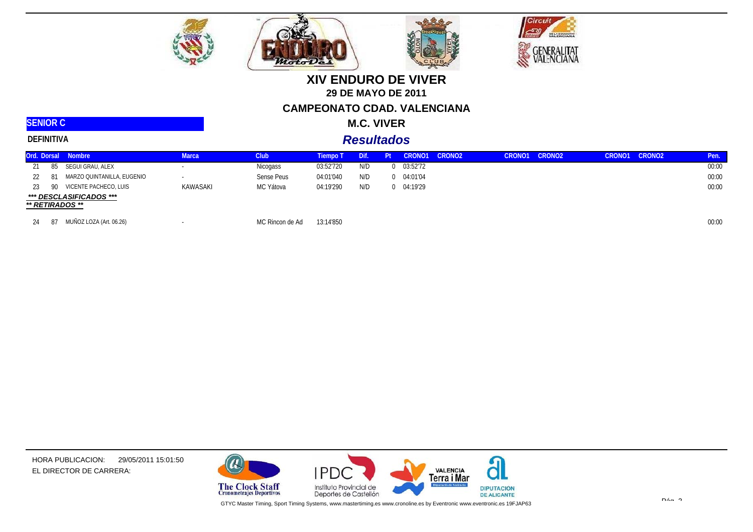

*Moto* D





## **XIV ENDURO DE VIVER29 DE MAYO DE 2011CAMPEONATO CDAD. VALENCIANA**

#### **M.C. VIVER**

#### **SENIOR CDEFINITIVA**

### *Resultados*

| Ord. Dorsal Nombre |                            | Marca    | Club <sub></sub> | Tiempo T  | Dif. | Pt |          | CRONO1 CRONO2 | CRONO1 | CRONO <sub>2</sub> | CRONO1 CRONO2 | Pen.  |
|--------------------|----------------------------|----------|------------------|-----------|------|----|----------|---------------|--------|--------------------|---------------|-------|
| 85                 | SEGUI GRAU, ALEX           |          | Nicogass         | 03:52'720 | N/D  |    | 03:52'72 |               |        |                    |               | 00:00 |
| -81<br>22          | MARZO QUINTANILLA, EUGENIO |          | Sense Peus       | 04:01'040 | N/D  |    | 04:01'04 |               |        |                    |               | 00:00 |
| 90<br>23.          | VICENTE PACHECO, LUIS      | KAWASAKI | MC Yátova        | 04:19'290 | N/D  |    | 04:19'29 |               |        |                    |               | 00:00 |
| ** RETIRADOS **    | *** DESCLASIFICADOS ***    |          |                  |           |      |    |          |               |        |                    |               |       |
| 87<br>24           | MUÑOZ LOZA (Art. 06.26)    |          | MC Rincon de Ad  | 13:14'850 |      |    |          |               |        |                    |               | 00:00 |

HORA PUBLICACION: EL DIRECTOR DE CARRERA: 29/05/2011 15:01:50